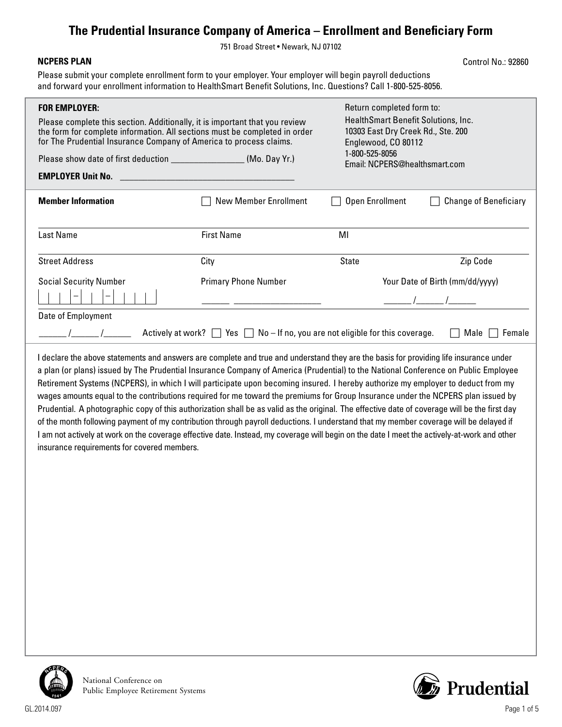## **The Prudential Insurance Company of America – Enrollment and Beneficiary Form**

751 Broad Street • Newark, NJ 07102

## **NCPERS PLAN**

Control No.: 92860

Please submit your complete enrollment form to your employer. Your employer will begin payroll deductions and forward your enrollment information to HealthSmart Benefit Solutions, Inc. Questions? Call 1-800-525-8056.

| <b>FOR EMPLOYER:</b>                                                                                                                                                                                                                                                                                                                                                                                                                                                                                                                                                                                                                                                                                                                                                                                                                          | Please complete this section. Additionally, it is important that you review<br>the form for complete information. All sections must be completed in order<br>for The Prudential Insurance Company of America to process claims. |                                                 | Return completed form to:<br>HealthSmart Benefit Solutions, Inc.<br>10303 East Dry Creek Rd., Ste. 200<br>Englewood, CO 80112 |  |  |
|-----------------------------------------------------------------------------------------------------------------------------------------------------------------------------------------------------------------------------------------------------------------------------------------------------------------------------------------------------------------------------------------------------------------------------------------------------------------------------------------------------------------------------------------------------------------------------------------------------------------------------------------------------------------------------------------------------------------------------------------------------------------------------------------------------------------------------------------------|---------------------------------------------------------------------------------------------------------------------------------------------------------------------------------------------------------------------------------|-------------------------------------------------|-------------------------------------------------------------------------------------------------------------------------------|--|--|
| Please show date of first deduction _______________________(Mo. Day Yr.)                                                                                                                                                                                                                                                                                                                                                                                                                                                                                                                                                                                                                                                                                                                                                                      |                                                                                                                                                                                                                                 | 1-800-525-8056<br>Email: NCPERS@healthsmart.com |                                                                                                                               |  |  |
| <b>EMPLOYER Unit No.</b>                                                                                                                                                                                                                                                                                                                                                                                                                                                                                                                                                                                                                                                                                                                                                                                                                      |                                                                                                                                                                                                                                 |                                                 |                                                                                                                               |  |  |
| <b>Member Information</b>                                                                                                                                                                                                                                                                                                                                                                                                                                                                                                                                                                                                                                                                                                                                                                                                                     | <b>New Member Enrollment</b>                                                                                                                                                                                                    | Open Enrollment                                 | <b>Change of Beneficiary</b>                                                                                                  |  |  |
| <b>Last Name</b>                                                                                                                                                                                                                                                                                                                                                                                                                                                                                                                                                                                                                                                                                                                                                                                                                              | <b>First Name</b>                                                                                                                                                                                                               | MI                                              |                                                                                                                               |  |  |
| <b>Street Address</b>                                                                                                                                                                                                                                                                                                                                                                                                                                                                                                                                                                                                                                                                                                                                                                                                                         | City                                                                                                                                                                                                                            | <b>State</b>                                    | Zip Code                                                                                                                      |  |  |
| <b>Social Security Number</b>                                                                                                                                                                                                                                                                                                                                                                                                                                                                                                                                                                                                                                                                                                                                                                                                                 | <b>Primary Phone Number</b>                                                                                                                                                                                                     |                                                 | Your Date of Birth (mm/dd/yyyy)                                                                                               |  |  |
| $\qquad \qquad -$                                                                                                                                                                                                                                                                                                                                                                                                                                                                                                                                                                                                                                                                                                                                                                                                                             |                                                                                                                                                                                                                                 |                                                 |                                                                                                                               |  |  |
| Date of Employment                                                                                                                                                                                                                                                                                                                                                                                                                                                                                                                                                                                                                                                                                                                                                                                                                            |                                                                                                                                                                                                                                 |                                                 |                                                                                                                               |  |  |
|                                                                                                                                                                                                                                                                                                                                                                                                                                                                                                                                                                                                                                                                                                                                                                                                                                               | Actively at work? $\Box$ Yes $\Box$ No - If no, you are not eligible for this coverage.                                                                                                                                         |                                                 | Male<br>Female                                                                                                                |  |  |
| I declare the above statements and answers are complete and true and understand they are the basis for providing life insurance under<br>a plan (or plans) issued by The Prudential Insurance Company of America (Prudential) to the National Conference on Public Employee<br>Retirement Systems (NCPERS), in which I will participate upon becoming insured. I hereby authorize my employer to deduct from my<br>wages amounts equal to the contributions required for me toward the premiums for Group Insurance under the NCPERS plan issued by<br>Prudential. A photographic copy of this authorization shall be as valid as the original. The effective date of coverage will be the first day<br>of the month following payment of my contribution through payroll deductions. I understand that my member coverage will be delayed if |                                                                                                                                                                                                                                 |                                                 |                                                                                                                               |  |  |

I am not actively at work on the coverage effective date. Instead, my coverage will begin on the date I meet the actively-at-work and other



National Conference on Public Employee Retirement Systems

insurance requirements for covered members.

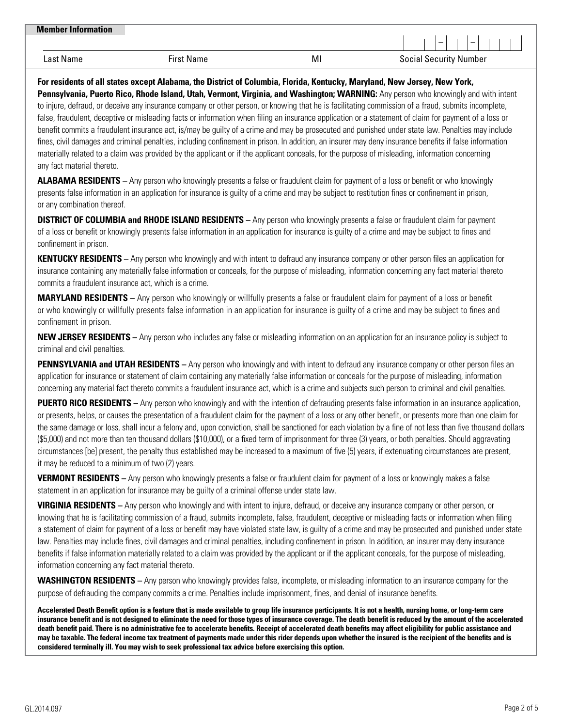| <b>Member Information</b> |                   |    | $\overline{\phantom{0}}$<br>- |
|---------------------------|-------------------|----|-------------------------------|
| Last Name                 | <b>First Name</b> | MI | <b>Social Security Number</b> |

**For residents of all states except Alabama, the District of Columbia, Florida, Kentucky, Maryland, New Jersey, New York, Pennsylvania, Puerto Rico, Rhode Island, Utah, Vermont, Virginia, and Washington; WARNING:** Any person who knowingly and with intent to injure, defraud, or deceive any insurance company or other person, or knowing that he is facilitating commission of a fraud, submits incomplete, false, fraudulent, deceptive or misleading facts or information when filing an insurance application or a statement of claim for payment of a loss or benefit commits a fraudulent insurance act, is/may be guilty of a crime and may be prosecuted and punished under state law. Penalties may include fines, civil damages and criminal penalties, including confinement in prison. In addition, an insurer may deny insurance benefits if false information materially related to a claim was provided by the applicant or if the applicant conceals, for the purpose of misleading, information concerning any fact material thereto.

**ALABAMA RESIDENTS –** Any person who knowingly presents a false or fraudulent claim for payment of a loss or benefit or who knowingly presents false information in an application for insurance is guilty of a crime and may be subject to restitution fines or confinement in prison, or any combination thereof.

**DISTRICT OF COLUMBIA and RHODE ISLAND RESIDENTS –** Any person who knowingly presents a false or fraudulent claim for payment of a loss or benefit or knowingly presents false information in an application for insurance is guilty of a crime and may be subject to fines and confinement in prison.

**KENTUCKY RESIDENTS –** Any person who knowingly and with intent to defraud any insurance company or other person files an application for insurance containing any materially false information or conceals, for the purpose of misleading, information concerning any fact material thereto commits a fraudulent insurance act, which is a crime.

**MARYLAND RESIDENTS –** Any person who knowingly or willfully presents a false or fraudulent claim for payment of a loss or benefit or who knowingly or willfully presents false information in an application for insurance is guilty of a crime and may be subject to fines and confinement in prison.

**NEW JERSEY RESIDENTS –** Any person who includes any false or misleading information on an application for an insurance policy is subject to criminal and civil penalties.

**PENNSYLVANIA and UTAH RESIDENTS** – Any person who knowingly and with intent to defraud any insurance company or other person files an application for insurance or statement of claim containing any materially false information or conceals for the purpose of misleading, information concerning any material fact thereto commits a fraudulent insurance act, which is a crime and subjects such person to criminal and civil penalties.

**PUERTO RICO RESIDENTS –** Any person who knowingly and with the intention of defrauding presents false information in an insurance application, or presents, helps, or causes the presentation of a fraudulent claim for the payment of a loss or any other benefit, or presents more than one claim for the same damage or loss, shall incur a felony and, upon conviction, shall be sanctioned for each violation by a fine of not less than five thousand dollars (\$5,000) and not more than ten thousand dollars (\$10,000), or a fixed term of imprisonment for three (3) years, or both penalties. Should aggravating circumstances [be] present, the penalty thus established may be increased to a maximum of five (5) years, if extenuating circumstances are present, it may be reduced to a minimum of two (2) years.

**VERMONT RESIDENTS –** Any person who knowingly presents a false or fraudulent claim for payment of a loss or knowingly makes a false statement in an application for insurance may be guilty of a criminal offense under state law.

**VIRGINIA RESIDENTS –** Any person who knowingly and with intent to injure, defraud, or deceive any insurance company or other person, or knowing that he is facilitating commission of a fraud, submits incomplete, false, fraudulent, deceptive or misleading facts or information when filing a statement of claim for payment of a loss or benefit may have violated state law, is guilty of a crime and may be prosecuted and punished under state law. Penalties may include fines, civil damages and criminal penalties, including confinement in prison. In addition, an insurer may deny insurance benefits if false information materially related to a claim was provided by the applicant or if the applicant conceals, for the purpose of misleading, information concerning any fact material thereto.

**WASHINGTON RESIDENTS –** Any person who knowingly provides false, incomplete, or misleading information to an insurance company for the purpose of defrauding the company commits a crime. Penalties include imprisonment, fines, and denial of insurance benefits.

**Accelerated Death Benefit option is a feature that is made available to group life insurance participants. It is not a health, nursing home, or long-term care insurance benefit and is not designed to eliminate the need for those types of insurance coverage. The death benefit is reduced by the amount of the accelerated death benefit paid. There is no administrative fee to accelerate benefits. Receipt of accelerated death benefits may affect eligibility for public assistance and may be taxable. The federal income tax treatment of payments made under this rider depends upon whether the insured is the recipient of the benefits and is considered terminally ill. You may wish to seek professional tax advice before exercising this option.**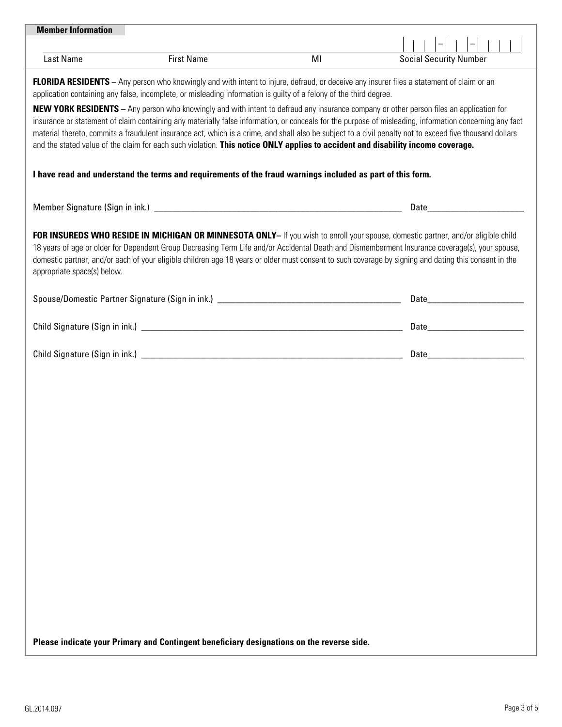| <b>Member Information</b>                                                                                                                                                                                                                                                                                                                                                                                                                                                                                                                                                                                |                                                                                                                                                                                                                                |
|----------------------------------------------------------------------------------------------------------------------------------------------------------------------------------------------------------------------------------------------------------------------------------------------------------------------------------------------------------------------------------------------------------------------------------------------------------------------------------------------------------------------------------------------------------------------------------------------------------|--------------------------------------------------------------------------------------------------------------------------------------------------------------------------------------------------------------------------------|
|                                                                                                                                                                                                                                                                                                                                                                                                                                                                                                                                                                                                          |                                                                                                                                                                                                                                |
| <b>Last Name</b><br><b>First Name</b>                                                                                                                                                                                                                                                                                                                                                                                                                                                                                                                                                                    | MI<br><b>Social Security Number</b>                                                                                                                                                                                            |
| <b>FLORIDA RESIDENTS</b> - Any person who knowingly and with intent to injure, defraud, or deceive any insurer files a statement of claim or an<br>application containing any false, incomplete, or misleading information is guilty of a felony of the third degree.                                                                                                                                                                                                                                                                                                                                    |                                                                                                                                                                                                                                |
| <b>NEW YORK RESIDENTS</b> – Any person who knowingly and with intent to defraud any insurance company or other person files an application for<br>insurance or statement of claim containing any materially false information, or conceals for the purpose of misleading, information concerning any fact<br>material thereto, commits a fraudulent insurance act, which is a crime, and shall also be subject to a civil penalty not to exceed five thousand dollars<br>and the stated value of the claim for each such violation. This notice ONLY applies to accident and disability income coverage. |                                                                                                                                                                                                                                |
| I have read and understand the terms and requirements of the fraud warnings included as part of this form.                                                                                                                                                                                                                                                                                                                                                                                                                                                                                               |                                                                                                                                                                                                                                |
|                                                                                                                                                                                                                                                                                                                                                                                                                                                                                                                                                                                                          | Date and the contract of the contract of the contract of the contract of the contract of the contract of the contract of the contract of the contract of the contract of the contract of the contract of the contract of the c |
| FOR INSUREDS WHO RESIDE IN MICHIGAN OR MINNESOTA ONLY- If you wish to enroll your spouse, domestic partner, and/or eligible child<br>18 years of age or older for Dependent Group Decreasing Term Life and/or Accidental Death and Dismemberment Insurance coverage(s), your spouse,<br>domestic partner, and/or each of your eligible children age 18 years or older must consent to such coverage by signing and dating this consent in the<br>appropriate space(s) below.                                                                                                                             |                                                                                                                                                                                                                                |
|                                                                                                                                                                                                                                                                                                                                                                                                                                                                                                                                                                                                          |                                                                                                                                                                                                                                |
|                                                                                                                                                                                                                                                                                                                                                                                                                                                                                                                                                                                                          |                                                                                                                                                                                                                                |
|                                                                                                                                                                                                                                                                                                                                                                                                                                                                                                                                                                                                          |                                                                                                                                                                                                                                |
|                                                                                                                                                                                                                                                                                                                                                                                                                                                                                                                                                                                                          |                                                                                                                                                                                                                                |
|                                                                                                                                                                                                                                                                                                                                                                                                                                                                                                                                                                                                          |                                                                                                                                                                                                                                |
|                                                                                                                                                                                                                                                                                                                                                                                                                                                                                                                                                                                                          |                                                                                                                                                                                                                                |
|                                                                                                                                                                                                                                                                                                                                                                                                                                                                                                                                                                                                          |                                                                                                                                                                                                                                |
|                                                                                                                                                                                                                                                                                                                                                                                                                                                                                                                                                                                                          |                                                                                                                                                                                                                                |
|                                                                                                                                                                                                                                                                                                                                                                                                                                                                                                                                                                                                          |                                                                                                                                                                                                                                |
|                                                                                                                                                                                                                                                                                                                                                                                                                                                                                                                                                                                                          |                                                                                                                                                                                                                                |
|                                                                                                                                                                                                                                                                                                                                                                                                                                                                                                                                                                                                          |                                                                                                                                                                                                                                |
|                                                                                                                                                                                                                                                                                                                                                                                                                                                                                                                                                                                                          |                                                                                                                                                                                                                                |
|                                                                                                                                                                                                                                                                                                                                                                                                                                                                                                                                                                                                          |                                                                                                                                                                                                                                |
| Please indicate your Primary and Contingent beneficiary designations on the reverse side.                                                                                                                                                                                                                                                                                                                                                                                                                                                                                                                |                                                                                                                                                                                                                                |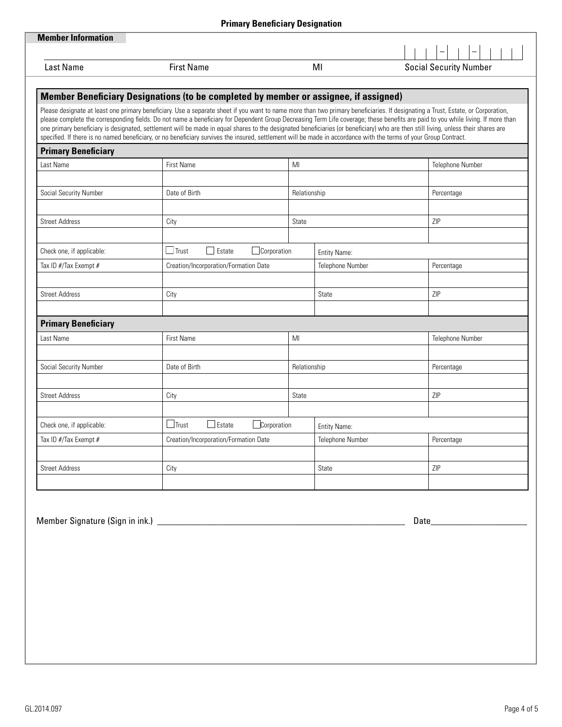|                               |                                                                                                                                                                                                                                                                                                                                                                                                                                                                                                                                             | Primary Denenciary Designation |                         |                                                                                                                                                                                  |
|-------------------------------|---------------------------------------------------------------------------------------------------------------------------------------------------------------------------------------------------------------------------------------------------------------------------------------------------------------------------------------------------------------------------------------------------------------------------------------------------------------------------------------------------------------------------------------------|--------------------------------|-------------------------|----------------------------------------------------------------------------------------------------------------------------------------------------------------------------------|
| <b>Member Information</b>     |                                                                                                                                                                                                                                                                                                                                                                                                                                                                                                                                             |                                |                         |                                                                                                                                                                                  |
|                               |                                                                                                                                                                                                                                                                                                                                                                                                                                                                                                                                             |                                |                         |                                                                                                                                                                                  |
| <b>Last Name</b>              | <b>First Name</b>                                                                                                                                                                                                                                                                                                                                                                                                                                                                                                                           |                                | ΜI                      | <b>Social Security Number</b>                                                                                                                                                    |
|                               |                                                                                                                                                                                                                                                                                                                                                                                                                                                                                                                                             |                                |                         |                                                                                                                                                                                  |
|                               | Member Beneficiary Designations (to be completed by member or assignee, if assigned)                                                                                                                                                                                                                                                                                                                                                                                                                                                        |                                |                         |                                                                                                                                                                                  |
|                               | Please designate at least one primary beneficiary. Use a separate sheet if you want to name more than two primary beneficiaries. If designating a Trust, Estate, or Corporation,<br>one primary beneficiary is designated, settlement will be made in equal shares to the designated beneficiaries (or beneficiary) who are then still living, unless their shares are<br>specified. If there is no named beneficiary, or no beneficiary survives the insured, settlement will be made in accordance with the terms of your Group Contract. |                                |                         | please complete the corresponding fields. Do not name a beneficiary for Dependent Group Decreasing Term Life coverage; these benefits are paid to you while living. If more than |
| <b>Primary Beneficiary</b>    |                                                                                                                                                                                                                                                                                                                                                                                                                                                                                                                                             |                                |                         |                                                                                                                                                                                  |
| Last Name                     | <b>First Name</b>                                                                                                                                                                                                                                                                                                                                                                                                                                                                                                                           | MI                             |                         | Telephone Number                                                                                                                                                                 |
|                               |                                                                                                                                                                                                                                                                                                                                                                                                                                                                                                                                             |                                |                         |                                                                                                                                                                                  |
| Social Security Number        | Date of Birth                                                                                                                                                                                                                                                                                                                                                                                                                                                                                                                               | Relationship                   |                         | Percentage                                                                                                                                                                       |
|                               |                                                                                                                                                                                                                                                                                                                                                                                                                                                                                                                                             |                                |                         |                                                                                                                                                                                  |
| <b>Street Address</b>         | City                                                                                                                                                                                                                                                                                                                                                                                                                                                                                                                                        | State                          |                         | ZIP                                                                                                                                                                              |
| Check one, if applicable:     | $\Box$ Trust<br>$\Box$ Estate                                                                                                                                                                                                                                                                                                                                                                                                                                                                                                               | Corporation                    | Entity Name:            |                                                                                                                                                                                  |
| Tax ID #/Tax Exempt #         | Creation/Incorporation/Formation Date                                                                                                                                                                                                                                                                                                                                                                                                                                                                                                       |                                | Telephone Number        | Percentage                                                                                                                                                                       |
|                               |                                                                                                                                                                                                                                                                                                                                                                                                                                                                                                                                             |                                |                         |                                                                                                                                                                                  |
| <b>Street Address</b>         | City                                                                                                                                                                                                                                                                                                                                                                                                                                                                                                                                        |                                | <b>State</b>            | <b>ZIP</b>                                                                                                                                                                       |
| <b>Primary Beneficiary</b>    |                                                                                                                                                                                                                                                                                                                                                                                                                                                                                                                                             |                                |                         |                                                                                                                                                                                  |
| Last Name                     | First Name                                                                                                                                                                                                                                                                                                                                                                                                                                                                                                                                  | MI                             |                         | Telephone Number                                                                                                                                                                 |
|                               |                                                                                                                                                                                                                                                                                                                                                                                                                                                                                                                                             |                                |                         |                                                                                                                                                                                  |
| <b>Social Security Number</b> | Date of Birth                                                                                                                                                                                                                                                                                                                                                                                                                                                                                                                               | Relationship                   |                         | Percentage                                                                                                                                                                       |
|                               |                                                                                                                                                                                                                                                                                                                                                                                                                                                                                                                                             |                                |                         |                                                                                                                                                                                  |
| <b>Street Address</b>         | City                                                                                                                                                                                                                                                                                                                                                                                                                                                                                                                                        | State                          |                         | ZIP                                                                                                                                                                              |
| Check one, if applicable:     | $\Box$ Estate<br>$\Box$ Trust                                                                                                                                                                                                                                                                                                                                                                                                                                                                                                               | Corporation                    | Entity Name:            |                                                                                                                                                                                  |
| Tax ID #/Tax Exempt #         | Creation/Incorporation/Formation Date                                                                                                                                                                                                                                                                                                                                                                                                                                                                                                       |                                | <b>Telephone Number</b> | Percentage                                                                                                                                                                       |
| <b>Street Address</b>         | City                                                                                                                                                                                                                                                                                                                                                                                                                                                                                                                                        |                                | <b>State</b>            | ZIP                                                                                                                                                                              |
|                               |                                                                                                                                                                                                                                                                                                                                                                                                                                                                                                                                             |                                |                         |                                                                                                                                                                                  |
|                               |                                                                                                                                                                                                                                                                                                                                                                                                                                                                                                                                             |                                |                         |                                                                                                                                                                                  |

Member Signature (Sign in ink.) \_\_\_\_\_\_\_\_\_\_\_\_\_\_\_\_\_\_\_\_\_\_\_\_\_\_\_\_\_\_\_\_\_\_\_\_\_\_\_\_\_\_\_\_\_\_\_\_\_\_\_\_\_\_ Date\_\_\_\_\_\_\_\_\_\_\_\_\_\_\_\_\_\_\_\_\_